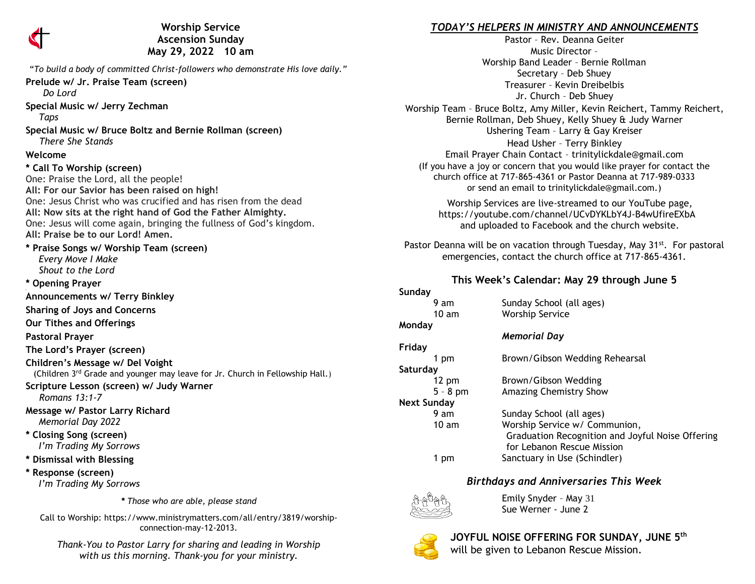

**Worship Service Ascension Sunday May 29, 2022 10 am** 

"*To build a body of committed Christ-followers who demonstrate His love daily."* **Prelude w/ Jr. Praise Team (screen)**  *Do Lord* **Special Music w/ Jerry Zechman**  *Taps* **Special Music w/ Bruce Boltz and Bernie Rollman (screen)** *There She Stands* **Welcome \* Call To Worship (screen)** One: Praise the Lord, all the people! **All: For our Savior has been raised on high!** One: Jesus Christ who was crucified and has risen from the dead **All: Now sits at the right hand of God the Father Almighty.** One: Jesus will come again, bringing the fullness of God's kingdom. **All: Praise be to our Lord! Amen. \* Praise Songs w/ Worship Team (screen)**  *Every Move I Make Shout to the Lord* **\* Opening Prayer \ Announcements w/ Terry Binkley Sharing of Joys and Concerns Our Tithes and Offerings Pastoral Prayer The Lord's Prayer (screen) Children's Message w/ Del Voight** (Children 3rd Grade and younger may leave for Jr. Church in Fellowship Hall.) **Scripture Lesson (screen) w/ Judy Warner** *Romans 13:1-7* **Message w/ Pastor Larry Richard**  *Memorial Day 2022* **\* Closing Song (screen)**  *I'm Trading My Sorrows* **\* Dismissal with Blessing \* Response (screen)**   *I'm Trading My Sorrows*

*\* Those who are able, please stand*

Call to Worship: https://www.ministrymatters.com/all/entry/3819/worshipconnection-may-12-2013.

*Thank-You to Pastor Larry for sharing and leading in Worship with us this morning. Thank-you for your ministry.*

## *TODAY'S HELPERS IN MINISTRY AND ANNOUNCEMENTS*

Pastor – Rev. Deanna Geiter Music Director – Worship Band Leader – Bernie Rollman Secretary – Deb Shuey Treasurer – Kevin Dreibelbis Jr. Church – Deb Shuey Worship Team – Bruce Boltz, Amy Miller, Kevin Reichert, Tammy Reichert, Bernie Rollman, Deb Shuey, Kelly Shuey & Judy Warner Ushering Team – Larry & Gay Kreiser Head Usher – Terry Binkley Email Prayer Chain Contact – [trinitylickdale@gmail.com](mailto:trinitylickdale@gmail.com) (If you have a joy or concern that you would like prayer for contact the church office at 717-865-4361 or Pastor Deanna at 717-989-0333 or send an email to trinitylickdale@gmail.com.)

> Worship Services are live-streamed to our YouTube page, <https://youtube.com/channel/UCvDYKLbY4J-B4wUfireEXbA> and uploaded to Facebook and the church website.

Pastor Deanna will be on vacation through Tuesday, May 31<sup>st</sup>. For pastoral emergencies, contact the church office at 717-865-4361.

#### **This Week's Calendar: May 29 through June 5**

| Sunday          |                                                                                |
|-----------------|--------------------------------------------------------------------------------|
| 9 am            | Sunday School (all ages)                                                       |
| 10 am           | <b>Worship Service</b>                                                         |
| Monday          |                                                                                |
|                 | <b>Memorial Day</b>                                                            |
| Friday          |                                                                                |
| 1 pm            | Brown/Gibson Wedding Rehearsal                                                 |
| Saturday        |                                                                                |
| $12 \text{ pm}$ | Brown/Gibson Wedding                                                           |
| $5 - 8$ pm      | Amazing Chemistry Show                                                         |
| Next Sunday     |                                                                                |
| 9 am            | Sunday School (all ages)                                                       |
| 10 am           | Worship Service w/ Communion,                                                  |
|                 | Graduation Recognition and Joyful Noise Offering<br>for Lebanon Rescue Mission |
| 1 pm            | Sanctuary in Use (Schindler)                                                   |

### *Birthdays and Anniversaries This Week*



Emily Snyder – May 31 Sue Werner - June 2



**JOYFUL NOISE OFFERING FOR SUNDAY, JUNE 5th** will be given to Lebanon Rescue Mission.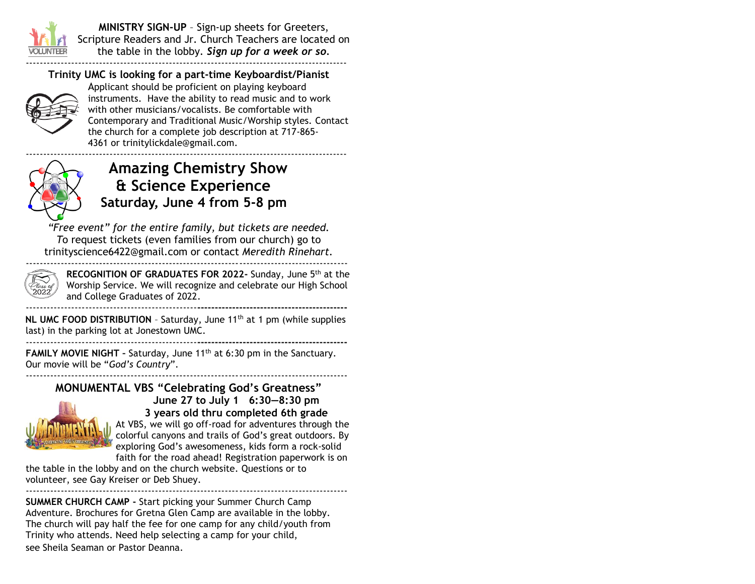

**MINISTRY SIGN-UP** – Sign-up sheets for Greeters, Scripture Readers and Jr. Church Teachers are located on the table in the lobby. *Sign up for a week or so.* --------------------------------------------------------------------------------------------

## **Trinity UMC is looking for a part-time Keyboardist/Pianist**



Applicant should be proficient on playing keyboard instruments. Have the ability to read music and to work with other musicians/vocalists. Be comfortable with Contemporary and Traditional Music/Worship styles. Contact the church for a complete job description at 717-865- 4361 or [trinitylickdale@gmail.com.](mailto:trinitylickdale@gmail.com)



# **Amazing Chemistry Show & Science Experience Saturday, June 4 from 5-8 pm**

*"Free event" for the entire family, but tickets are needed. T*o request tickets (even families from our church) go to [trinityscience6422@gmail.com](mailto:trinityscience6422@gmail.com) or contact *Meredith Rinehart.* --------------------------------------------------------------------------------------------



**RECOGNITION OF GRADUATES FOR 2022-** Sunday, June 5th at the Worship Service. We will recognize and celebrate our High School and College Graduates of 2022.

-------------------------------------------------**-------------------------------------------**

**NL UMC FOOD DISTRIBUTION** - Saturday, June 11<sup>th</sup> at 1 pm (while supplies last) in the parking lot at Jonestown UMC. -------------------------------------------------**-------------------------------------------**

**FAMILY MOVIE NIGHT - Saturday, June 11<sup>th</sup> at 6:30 pm in the Sanctuary.** Our movie will be "*God's Country*". --------------------------------------------------------------------------------------------

## **MONUMENTAL VBS "Celebrating God's Greatness"**



**June 27 to July 1 6:30—8:30 pm 3 years old thru completed 6th grade**

At VBS, we will go off-road for adventures through the colorful canyons and trails of God's great outdoors. By exploring God's awesomeness, kids form a rock-solid faith for the road ahead! Registration paperwork is on

the table in the lobby and on the church website. Questions or to volunteer, see Gay Kreiser or Deb Shuey.

-------------------------------------------------------------------------------------------- **SUMMER CHURCH CAMP -** Start picking your Summer Church Camp Adventure. Brochures for Gretna Glen Camp are available in the lobby. The church will pay half the fee for one camp for any child/youth from Trinity who attends. Need help selecting a camp for your child, see Sheila Seaman or Pastor Deanna.